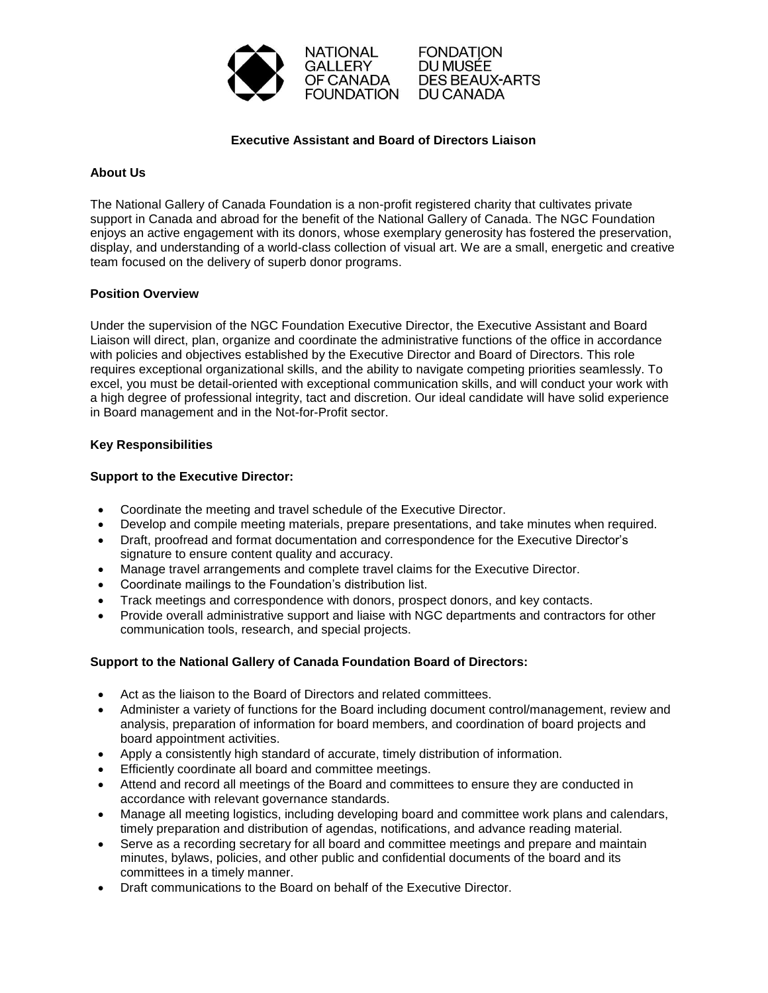

**FONDATION** DU MUSÉE **DES BEAUX-ARTS** DU CANADA

### **Executive Assistant and Board of Directors Liaison**

### **About Us**

The National Gallery of Canada Foundation is a non-profit registered charity that cultivates private support in Canada and abroad for the benefit of the National Gallery of Canada. The NGC Foundation enjoys an active engagement with its donors, whose exemplary generosity has fostered the preservation, display, and understanding of a world-class collection of visual art. We are a small, energetic and creative team focused on the delivery of superb donor programs.

### **Position Overview**

Under the supervision of the NGC Foundation Executive Director, the Executive Assistant and Board Liaison will direct, plan, organize and coordinate the administrative functions of the office in accordance with policies and objectives established by the Executive Director and Board of Directors. This role requires exceptional organizational skills, and the ability to navigate competing priorities seamlessly. To excel, you must be detail-oriented with exceptional communication skills, and will conduct your work with a high degree of professional integrity, tact and discretion. Our ideal candidate will have solid experience in Board management and in the Not-for-Profit sector.

#### **Key Responsibilities**

### **Support to the Executive Director:**

- Coordinate the meeting and travel schedule of the Executive Director.
- Develop and compile meeting materials, prepare presentations, and take minutes when required.
- Draft, proofread and format documentation and correspondence for the Executive Director's signature to ensure content quality and accuracy.
- Manage travel arrangements and complete travel claims for the Executive Director.
- Coordinate mailings to the Foundation's distribution list.
- Track meetings and correspondence with donors, prospect donors, and key contacts.
- Provide overall administrative support and liaise with NGC departments and contractors for other communication tools, research, and special projects.

# **Support to the National Gallery of Canada Foundation Board of Directors:**

- Act as the liaison to the Board of Directors and related committees.
- Administer a variety of functions for the Board including document control/management, review and analysis, preparation of information for board members, and coordination of board projects and board appointment activities.
- Apply a consistently high standard of accurate, timely distribution of information.
- Efficiently coordinate all board and committee meetings.
- Attend and record all meetings of the Board and committees to ensure they are conducted in accordance with relevant governance standards.
- Manage all meeting logistics, including developing board and committee work plans and calendars, timely preparation and distribution of agendas, notifications, and advance reading material.
- Serve as a recording secretary for all board and committee meetings and prepare and maintain minutes, bylaws, policies, and other public and confidential documents of the board and its committees in a timely manner.
- Draft communications to the Board on behalf of the Executive Director.